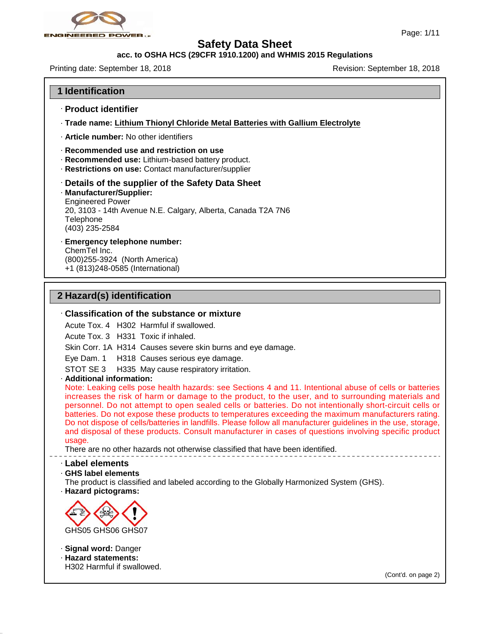

# **acc. to OSHA HCS (29CFR 1910.1200) and WHMIS 2015 Regulations**

Printing date: September 18, 2018 **Revision: September 18, 2018** Revision: September 18, 2018

# **1 Identification**

- · **Product identifier**
- · **Trade name: Lithium Thionyl Chloride Metal Batteries with Gallium Electrolyte**
- · **Article number:** No other identifiers
- · **Recommended use and restriction on use**
- · **Recommended use:** Lithium-based battery product.
- · **Restrictions on use:** Contact manufacturer/supplier

# · **Details of the supplier of the Safety Data Sheet**

· **Manufacturer/Supplier:** Engineered Power 20, 3103 - 14th Avenue N.E. Calgary, Alberta, Canada T2A 7N6 Telephone

(403) 235-2584

· **Emergency telephone number:**

ChemTel Inc. (800)255-3924 (North America) +1 (813)248-0585 (International)

# **2 Hazard(s) identification**

# · **Classification of the substance or mixture**

Acute Tox. 4 H302 Harmful if swallowed.

Acute Tox. 3 H331 Toxic if inhaled.

Skin Corr. 1A H314 Causes severe skin burns and eye damage.

Eye Dam. 1 H318 Causes serious eye damage.

STOT SE 3 H335 May cause respiratory irritation.

· **Additional information:**

Note: Leaking cells pose health hazards: see Sections 4 and 11. Intentional abuse of cells or batteries increases the risk of harm or damage to the product, to the user, and to surrounding materials and Eye Dam. 1 H318 Causes serious eye damage.<br>
Eye Dam. 1 H318 Causes serious eye damage.<br>
STOT SE 3 H335 May cause respiratory irritation.<br>
Additional information:<br>
Note: Leaking cells pose health hazards: see Sections 4 and Eye Dam. 1 - H318 Causes serious eye damage.<br>
STOT SE 3 - H335 May cause respiratory irritation.<br> **Additional information:**<br>
Note: Leaking cells pose health hazards: see Sections 4 and 11. Intentional abuse of cells or bat STOT SE 3 H335 May cause respiratory irritation.<br>
Additional information:<br>
Note: Leaking cells pose health hazards: see Sections 4 and 11. Intentional abuse of cells or batteries<br>
increases the risk of harm or damage to th Additional information:<br>Note: Leaking cells pose health hazards: see Sections 4 and 11. Intentional abuse of cells or batteries<br>increases the risk of harm or damage to the product, to the user, and to surrounding materials Note: Leaking cells pose health hazards: see Sections 4 and 11. Intentional abuse of cells or batteries increases the risk of harm or damage to the product, to the user, and to surrounding materials and personnel. Do not a usage.

There are no other hazards not otherwise classified that have been identified.

#### · **Label elements**

· **GHS label elements**

The product is classified and labeled according to the Globally Harmonized System (GHS). · **Hazard pictograms:**



- · **Signal word:** Danger
- · **Hazard statements:**

47.0.13

H302 Harmful if swallowed.

(Cont'd. on page 2)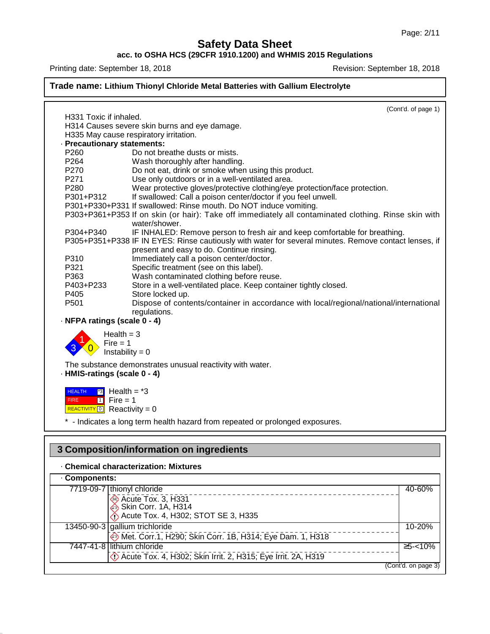# **acc. to OSHA HCS (29CFR 1910.1200) and WHMIS 2015 Regulations**

Printing date: September 18, 2018 **Printing date: September 18, 2018** 

# **Trade name: Lithium Thionyl Chloride Metal Batteries with Gallium Electrolyte**

|                                            | (Cont'd. of page 1)                                                                                                   |
|--------------------------------------------|-----------------------------------------------------------------------------------------------------------------------|
| H331 Toxic if inhaled.                     |                                                                                                                       |
|                                            | H314 Causes severe skin burns and eye damage.                                                                         |
|                                            | H335 May cause respiratory irritation.                                                                                |
| · Precautionary statements:                |                                                                                                                       |
| P <sub>260</sub>                           | Do not breathe dusts or mists.                                                                                        |
| P <sub>264</sub>                           | Wash thoroughly after handling.                                                                                       |
| P270                                       | Do not eat, drink or smoke when using this product.                                                                   |
| P271                                       | Use only outdoors or in a well-ventilated area.                                                                       |
| P280                                       | Wear protective gloves/protective clothing/eye protection/face protection.                                            |
| P301+P312                                  | If swallowed: Call a poison center/doctor if you feel unwell.                                                         |
|                                            | P301+P330+P331 If swallowed: Rinse mouth. Do NOT induce vomiting.                                                     |
|                                            | P303+P361+P353 If on skin (or hair): Take off immediately all contaminated clothing. Rinse skin with<br>water/shower. |
| P304+P340                                  | IF INHALED: Remove person to fresh air and keep comfortable for breathing.                                            |
|                                            | P305+P351+P338 IF IN EYES: Rinse cautiously with water for several minutes. Remove contact lenses, if                 |
|                                            | present and easy to do. Continue rinsing.                                                                             |
| P310                                       | Immediately call a poison center/doctor.                                                                              |
| P321                                       | Specific treatment (see on this label).                                                                               |
| P363                                       | Wash contaminated clothing before reuse.                                                                              |
| P403+P233                                  | Store in a well-ventilated place. Keep container tightly closed.                                                      |
| P405                                       | Store locked up.                                                                                                      |
| P <sub>501</sub>                           | Dispose of contents/container in accordance with local/regional/national/international                                |
|                                            | regulations.                                                                                                          |
| · NFPA ratings (scale 0 - 4)               |                                                                                                                       |
| Health $=$ 3<br>Fire $= 1$                 |                                                                                                                       |
|                                            | Instability = $0$                                                                                                     |
|                                            | The substance demonstrates unusual reactivity with water.                                                             |
| · HMIS-ratings (scale 0 - 4)               |                                                                                                                       |
| $\boxed{3}$ Health = $*3$<br><b>HEALTH</b> |                                                                                                                       |
| $\boxed{1}$ Fire = 1<br><b>FIRE</b>        |                                                                                                                       |
| REACTIVITY 0 Reactivity = 0                |                                                                                                                       |
|                                            | * - Indicates a long term health hazard from repeated or prolonged exposures.                                         |
|                                            |                                                                                                                       |
|                                            |                                                                                                                       |

# · **Chemical characterization: Mixtures**

47.0.13

| 3 Composition/information on ingredients                                                                       |                     |  |  |
|----------------------------------------------------------------------------------------------------------------|---------------------|--|--|
| . Chemical characterization: Mixtures                                                                          |                     |  |  |
| Components:                                                                                                    |                     |  |  |
| 7719-09-7 thionyl chloride<br>Acute Tox. 3, H331<br>Skin Corr. 1A, H314<br>Acute Tox. 4, H302; STOT SE 3, H335 | 40-60%              |  |  |
| 13450-90-3 gallium trichloride<br>Met. Corr.1, H290; Skin Corr. 1B, H314; Eye Dam. 1, H318                     | 10-20%              |  |  |
| 7447-41-8 lithium chloride<br>D Acute Tox. 4, H302; Skin Irrit. 2, H315; Eye Irrit. 2A, H319                   | $5 - 10%$           |  |  |
|                                                                                                                | (Cont'd. on page 3) |  |  |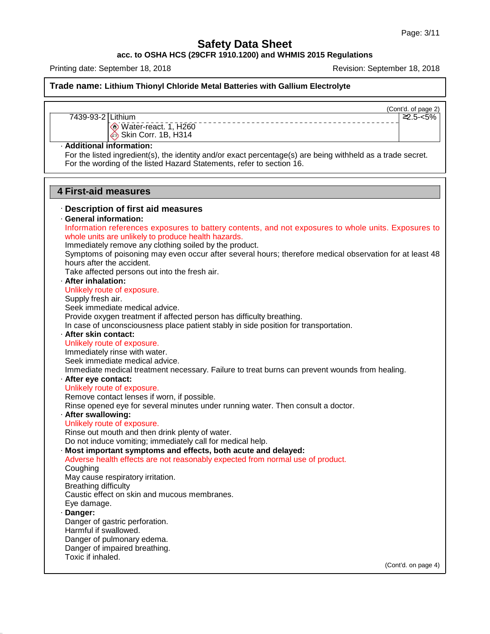**acc. to OSHA HCS (29CFR 1910.1200) and WHMIS 2015 Regulations**

Printing date: September 18, 2018 **Revision: September 18, 2018** Revision: September 18, 2018

**Trade name: Lithium Thionyl Chloride Metal Batteries with Gallium Electrolyte**

(Cont'd. of page 2)

 $2.5 - 5\%$ 

7439-93-2 Lithium

Water-react. 1, H260 Skin Corr. 1B, H314

#### · **Additional information:**

For the listed ingredient(s), the identity and/or exact percentage(s) are being withheld as a trade secret. For the wording of the listed Hazard Statements, refer to section 16.

# **4 First-aid measures**

47.0.13

# · **Description of first aid measures** · **General information:** Immediately remove any clothing soiled by the product. Symptoms of poisoning may even occur after several hours; therefore medical observation for at least 48 hours after the accident. Take affected persons out into the fresh air. **After inhalation:**<br>Unlikely route of exposure. Supply fresh air. Seek immediate medical advice. Provide oxygen treatment if affected person has difficulty breathing. In case of unconsciousness place patient stably in side position for transportation. · **After skin contact:** Immediately rinse with water. Seek immediate medical advice. Immediate medical treatment necessary. Failure to treat burns can prevent wounds from healing. · **After eye contact:** Remove contact lenses if worn, if possible. Rinse opened eye for several minutes under running water. Then consult a doctor. · **After swallowing:** Rinse out mouth and then drink plenty of water. Do not induce vomiting; immediately call for medical help. · **Most important symptoms and effects, both acute and delayed:** Coughing May cause respiratory irritation. Breathing difficulty Caustic effect on skin and mucous membranes. Eye damage. · **Danger:** Danger of gastric perforation. Harmful if swallowed. Danger of pulmonary edema. Danger of impaired breathing. Toxic if inhaled. First-aid measures<br>Description of first aid measures<br>General information:<br>Information references exposures to battery contents, and not exposures to whole units. Exposures to<br>whole units are unlikely to produce health haza **First-aid measures**<br>Description of first aid measures<br>General information:<br>Information references exposures to battery contents<br>whole units are unlikely to produce health hazards.<br>Immediately remove any clothing soiled by Immediately remove any clothir<br>Symptoms of poisoning may ev<br>hours after the accident.<br>Take affected persons out into<br>**After inhalation:**<br>Unlikely route of exposure.<br>Supply fresh air.<br>Seek immediate medical advice Supply fresh air.<br>Seek immediate medical advice<br>Provide oxygen treatment if affe<br>In case of unconsciousness pla<br>**After skin contact:**<br>Unlikely route of exposure.<br>Immediately rinse with water.<br>Seek immediate medical advice Unlikely route of exposure.<br>Immediately rinse with water.<br>Seek immediate medical advice<br>Immediate medical treatment n<br>After eye contact:<br>Unlikely route of exposure.<br>Remove contact lenses if worn,<br>Rinse opened eye for sever After eye contact:<br>
Unlikely route of exposure.<br>
Remove contact lenses if worn,<br>
Rinse opened eye for several m<br>
After swallowing:<br>
Unlikely route of exposure.<br>
Rinse out mouth and then drink<br>
Do not induce vomiting: immed Adverse health effects are not reasonably expected from normal use of product.

(Cont'd. on page 4)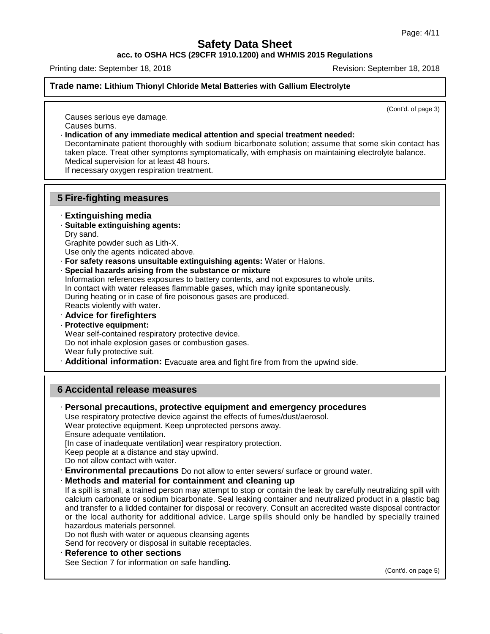**acc. to OSHA HCS (29CFR 1910.1200) and WHMIS 2015 Regulations**

Printing date: September 18, 2018 **Revision: September 18, 2018** Revision: September 18, 2018

# **Trade name: Lithium Thionyl Chloride Metal Batteries with Gallium Electrolyte**

(Cont'd. of page 3)

Causes serious eye damage. Causes burns.

· **Indication of any immediate medical attention and special treatment needed:**

Decontaminate patient thoroughly with sodium bicarbonate solution; assume that some skin contact has taken place. Treat other symptoms symptomatically, with emphasis on maintaining electrolyte balance. Medical supervision for at least 48 hours.

If necessary oxygen respiration treatment.

# **5 Fire-fighting measures**

# · **Extinguishing media**

- · **Suitable extinguishing agents:**
- Dry sand.

47.0.13

Graphite powder such as Lith-X.

Use only the agents indicated above.

- · **For safety reasons unsuitable extinguishing agents:** Water or Halons.
- · **Special hazards arising from the substance or mixture**

Information references exposures to battery contents, and not exposures to whole units. In contact with water releases flammable gases, which may ignite spontaneously. During heating or in case of fire poisonous gases are produced.

- Reacts violently with water. · **Advice for firefighters**
- · **Protective equipment:**
- 

Wear self-contained respiratory protective device. Do not inhale explosion gases or combustion gases.

Wear fully protective suit.

· **Additional information:** Evacuate area and fight fire from from the upwind side.

# **6 Accidental release measures**

· **Personal precautions, protective equipment and emergency procedures** Use respiratory protective device against the effects of fumes/dust/aerosol. Wear protective equipment. Keep unprotected persons away. Ensure adequate ventilation. [In case of inadequate ventilation] wear respiratory protection. Keep people at a distance and stay upwind. Do not allow contact with water. · **Environmental precautions** Do not allow to enter sewers/ surface or ground water. · **Methods and material for containment and cleaning up** If a spill is small, a trained person may attempt to stop or contain the leak by carefully neutralizing spill with calcium carbonate or sodium bicarbonate. Seal leaking container and neutralized product in a plastic bag and transfer to a lidded container for disposal or recovery. Consult an accredited waste disposal contractor or the local authority for additional advice. Large spills should only be handled by specially trained hazardous materials personnel. Do not flush with water or aqueous cleansing agents Send for recovery or disposal in suitable receptacles. · **Reference to other sections** See Section 7 for information on safe handling. (Cont'd. on page 5)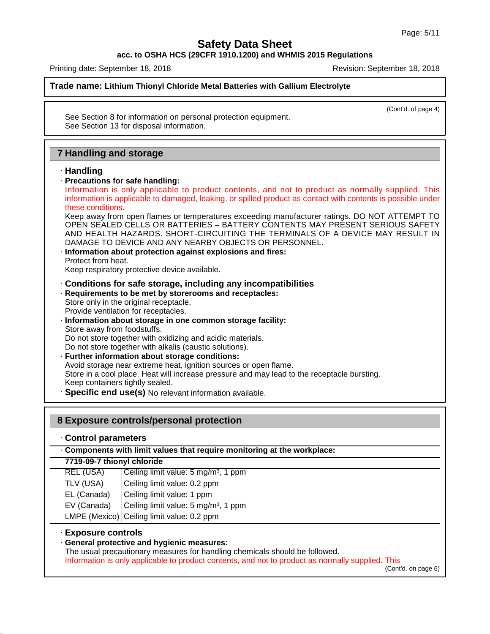**acc. to OSHA HCS (29CFR 1910.1200) and WHMIS 2015 Regulations**

Printing date: September 18, 2018 **Revision: September 18, 2018** Revision: September 18, 2018

**Trade name: Lithium Thionyl Chloride Metal Batteries with Gallium Electrolyte**

(Cont'd. of page 4)

See Section 8 for information on personal protection equipment. See Section 13 for disposal information.

# **7 Handling and storage**

# · **Handling**

# · **Precautions for safe handling:**

Handling and storage<br>
Handling<br>
Precautions for safe handling:<br>
Information is only applicable to product contents, and not to product as normally supplied. This<br>
information is applicable to damaged, leaking, or spilled p **Handling<br>
Handling<br>
Precautions for safe handling:**<br>
Information is only applicable to product contents, and not to product as normally supplied. This<br>
information is applicable to damaged, leaking, or spilled product as Handling<br>Precautions for safe<br>Information is only<br>information is applical<br>these conditions.<br>Keep away from oper<br>OPEN SEALED CEL

Keep away from open flames or temperatures exceeding manufacturer ratings. DO NOT ATTEMPT TO OPEN SEALED CELLS OR BATTERIES – BATTERY CONTENTS MAY PRESENT SERIOUS SAFETY AND HEALTH HAZARDS. SHORT-CIRCUITING THE TERMINALS OF A DEVICE MAY RESULT IN DAMAGE TO DEVICE AND ANY NEARBY OBJECTS OR PERSONNEL.

· **Information about protection against explosions and fires:**

Protect from heat.

Keep respiratory protective device available.

# · **Conditions for safe storage, including any incompatibilities**

· **Requirements to be met by storerooms and receptacles:**

Store only in the original receptacle.

Provide ventilation for receptacles.

· **Information about storage in one common storage facility:** Store away from foodstuffs.

Do not store together with oxidizing and acidic materials.

Do not store together with alkalis (caustic solutions).

- · **Further information about storage conditions:** Avoid storage near extreme heat, ignition sources or open flame. Store in a cool place. Heat will increase pressure and may lead to the receptacle bursting. Keep containers tightly sealed.
- · **Specific end use(s)** No relevant information available.

# · **Control parameters**

**8 Exposure controls/personal protection**<br> **Control parameters**<br> **7719-09-7 thionyl chloride**<br>
REL (USA) Ceiling limit value: 5 mg/m<sup>3</sup>, 1 ppm · **Components with limit values that require monitoring at the workplace:**

| REL (USA) | Ceiling limit value: $5 \text{ mg/m}^3$ , 1 ppm |  |
|-----------|-------------------------------------------------|--|
|           |                                                 |  |
|           |                                                 |  |
|           |                                                 |  |

TLV (USA) Ceiling limit value: 0.2 ppm

EL (Canada) Ceiling limit value: 1 ppm

EV (Canada)  $\int$  Ceiling limit value: 5 mg/m<sup>3</sup>, 1 ppm

LMPE (Mexico) Ceiling limit value: 0.2 ppm

# · **Exposure controls**

47.0.13

# · **General protective and hygienic measures:**

The usual precautionary measures for handling chemicals should be followed.

Information is only applicable to product contents, and not to product as normally supplied. This

(Cont'd. on page 6)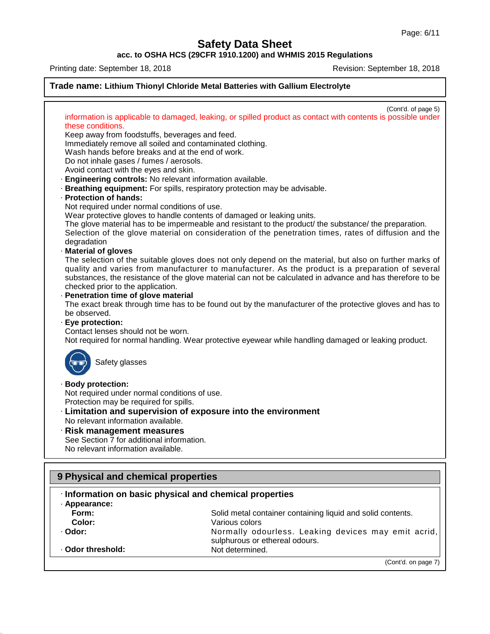(Cont'd. on page 7)

**Safety Data Sheet**

**acc. to OSHA HCS (29CFR 1910.1200) and WHMIS 2015 Regulations**

47.0.13

 $\cdot$  Odor threshold:



sulphurous or ethereal odours.<br>Not determined.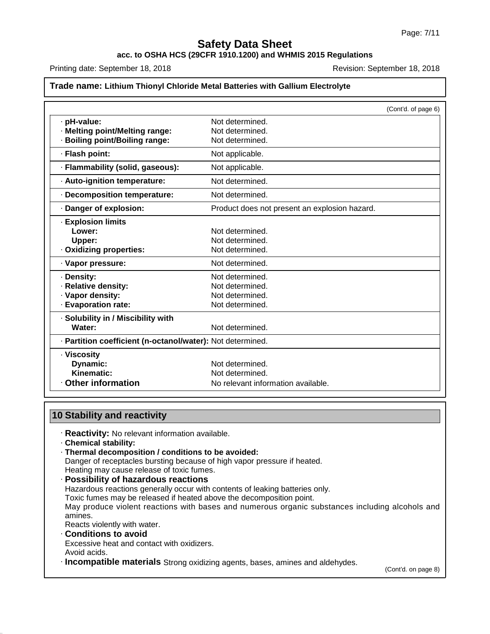# **acc. to OSHA HCS (29CFR 1910.1200) and WHMIS 2015 Regulations**

Printing date: September 18, 2018 **Revision: September 18, 2018** Revision: September 18, 2018

#### **Trade name: Lithium Thionyl Chloride Metal Batteries with Gallium Electrolyte**

|                                                            | (Cont'd. of page 6)                           |
|------------------------------------------------------------|-----------------------------------------------|
| · pH-value:                                                | Not determined.                               |
| · Melting point/Melting range:                             | Not determined.                               |
| <b>Boiling point/Boiling range:</b>                        | Not determined.                               |
| · Flash point:                                             | Not applicable.                               |
| · Flammability (solid, gaseous):                           | Not applicable.                               |
| · Auto-ignition temperature:                               | Not determined.                               |
| · Decomposition temperature:                               | Not determined.                               |
| Danger of explosion:                                       | Product does not present an explosion hazard. |
| · Explosion limits                                         |                                               |
| Lower:                                                     | Not determined.                               |
| Upper:                                                     | Not determined.                               |
| Oxidizing properties:                                      | Not determined.                               |
| · Vapor pressure:                                          | Not determined.                               |
| · Density:                                                 | Not determined.                               |
| · Relative density:                                        | Not determined.                               |
| · Vapor density:                                           | Not determined.                               |
| · Evaporation rate:                                        | Not determined.                               |
| · Solubility in / Miscibility with                         |                                               |
| Water:                                                     | Not determined.                               |
| · Partition coefficient (n-octanol/water): Not determined. |                                               |
| · Viscosity                                                |                                               |
| Dynamic:                                                   | Not determined.                               |
| Kinematic:                                                 | Not determined.                               |
| <b>Other information</b>                                   | No relevant information available.            |

# **10 Stability and reactivity**

· **Reactivity:** No relevant information available.

· **Chemical stability:**

47.0.13

· **Thermal decomposition / conditions to be avoided:** Danger of receptacles bursting because of high vapor pressure if heated. Heating may cause release of toxic fumes.

· **Possibility of hazardous reactions** Hazardous reactions generally occur with contents of leaking batteries only. Toxic fumes may be released if heated above the decomposition point. May produce violent reactions with bases and numerous organic substances including alcohols and amines. Reacts violently with water. · **Conditions to avoid** Excessive heat and contact with oxidizers.

Avoid acids.

· **Incompatible materials** Strong oxidizing agents, bases, amines and aldehydes.

(Cont'd. on page 8)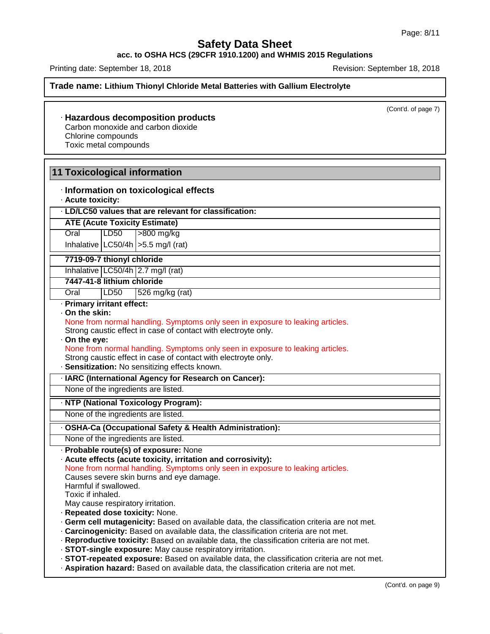# **acc. to OSHA HCS (29CFR 1910.1200) and WHMIS 2015 Regulations**

Printing date: September 18, 2018 **Revision: September 18, 2018** Revision: September 18, 2018

**Trade name: Lithium Thionyl Chloride Metal Batteries with Gallium Electrolyte**

(Cont'd. of page 7)

# · **Hazardous decomposition products** Carbon monoxide and carbon dioxide

Chlorine compounds

Toxic metal compounds

# **11 Toxicological information**

- · **Information on toxicological effects**
- · **Acute toxicity:**

# · **LD/LC50 values that are relevant for classification:**

Oral LD50 >800 mg/kg

**ATE (Acute Toxicity Estimate) 7719-09-7 thionyl chloride**Inhalative  $\lfloor$  LC50/4h $\rfloor$  > 5.5 mg/l (rat)

Inhalative  $LC50/4h$  2.7 mg/l (rat)

# **7447-41-8 lithium chloride**

Oral  $|LD50|$  526 mg/kg (rat)

# · **Primary irritant effect:**

· **On the skin:**

# None from normal handling. Symptoms only seen in exposure to leaking articles. Primary irritant effect:<br>
On the skin:<br>
None from normal handling. Symptoms only seen in exposure to leaking articles.<br>
Strong caustic effect in case of contact with electroyte only.<br>
On the eye:<br>
None from normal handling

Strong caustic effect in case of contact with electroyte only.

· **On the eye:**

- Strong caustic effect in case of contact with electroyte only.
- · **Sensitization:** No sensitizing effects known.
- · **IARC (International Agency for Research on Cancer):**

None of the ingredients are listed.

#### · **NTP (National Toxicology Program):**

None of the ingredients are listed.

#### · **OSHA-Ca (Occupational Safety & Health Administration):**

None of the ingredients are listed.

· **Probable route(s) of exposure:** None

#### · **Acute effects (acute toxicity, irritation and corrosivity):**

None from normal handling. Symptoms only seen in exposure to leaking articles.

Causes severe skin burns and eye damage.

Harmful if swallowed.

Toxic if inhaled.

47.0.13

May cause respiratory irritation.

- · **Repeated dose toxicity:** None.
- · **Germ cell mutagenicity:** Based on available data, the classification criteria are not met.
- · **Carcinogenicity:** Based on available data, the classification criteria are not met.
- · **Reproductive toxicity:** Based on available data, the classification criteria are not met.

· **STOT-single exposure:** May cause respiratory irritation.

· **STOT-repeated exposure:** Based on available data, the classification criteria are not met.

· **Aspiration hazard:** Based on available data, the classification criteria are not met.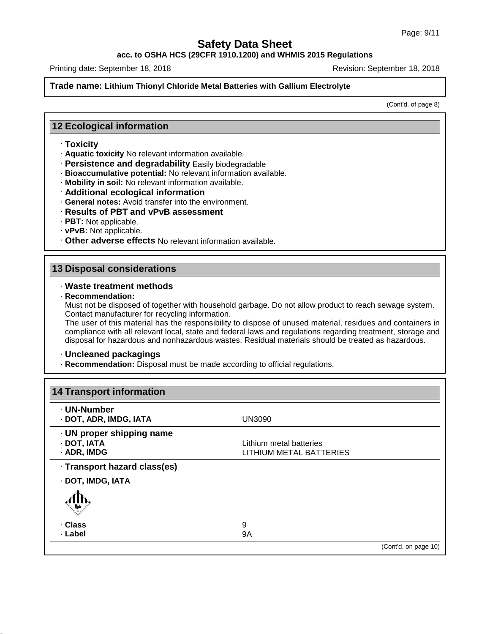# **acc. to OSHA HCS (29CFR 1910.1200) and WHMIS 2015 Regulations**

Printing date: September 18, 2018 **Revision: September 18, 2018** Revision: September 18, 2018

# **Trade name: Lithium Thionyl Chloride Metal Batteries with Gallium Electrolyte**

(Cont'd. of page 8)

# **12 Ecological information**

# · **Toxicity**

- · **Aquatic toxicity** No relevant information available.
- · **Persistence and degradability** Easily biodegradable
- · **Bioaccumulative potential:** No relevant information available.
- · **Mobility in soil:** No relevant information available.
- · **Additional ecological information**
- · **General notes:** Avoid transfer into the environment.
- · **Results of PBT and vPvB assessment**
- · **PBT:** Not applicable.
- · **vPvB:** Not applicable.
- · **Other adverse effects** No relevant information available.

# **13 Disposal considerations**

### · **Waste treatment methods**

· **Recommendation:**

47.0.13

Must not be disposed of together with household garbage. Do not allow product to reach sewage system. Contact manufacturer for recycling information.

The user of this material has the responsibility to dispose of unused material, residues and containers in compliance with all relevant local, state and federal laws and regulations regarding treatment, storage and disposal for hazardous and nonhazardous wastes. Residual materials should be treated as hazardous.

#### · **Uncleaned packagings**

· **Recommendation:** Disposal must be made according to official regulations.

| · UN-Number                  |                         |  |
|------------------------------|-------------------------|--|
| · DOT, ADR, IMDG, IATA       | <b>UN3090</b>           |  |
| · UN proper shipping name    |                         |  |
| · DOT, IATA                  | Lithium metal batteries |  |
| · ADR, IMDG                  | LITHIUM METAL BATTERIES |  |
| · Transport hazard class(es) |                         |  |
| · DOT, IMDG, IATA            |                         |  |
|                              |                         |  |
| · Class                      | 9                       |  |
| · Label                      | 9A                      |  |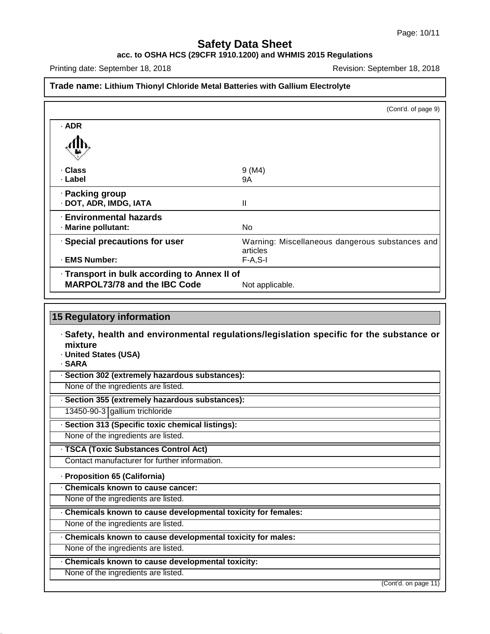### **acc. to OSHA HCS (29CFR 1910.1200) and WHMIS 2015 Regulations**

Printing date: September 18, 2018 **Revision: September 18, 2018** Revision: September 18, 2018

47.0.13

# **Trade name: Lithium Thionyl Chloride Metal Batteries with Gallium Electrolyte**

|                                              | (Cont'd. of page 9)                             |
|----------------------------------------------|-------------------------------------------------|
| $·$ ADR                                      |                                                 |
|                                              |                                                 |
| · Class                                      | 9 (M4)                                          |
| · Label                                      | 9A                                              |
| · Packing group                              |                                                 |
| · DOT, ADR, IMDG, IATA                       | Ш                                               |
| <b>Environmental hazards</b>                 |                                                 |
| · Marine pollutant:                          | No.                                             |
| · Special precautions for user               | Warning: Miscellaneous dangerous substances and |
|                                              | articles                                        |
| · EMS Number:                                | $F-A, S-I$                                      |
| · Transport in bulk according to Annex II of |                                                 |
| <b>MARPOL73/78 and the IBC Code</b>          | Not applicable.                                 |

# **15 Regulatory information** · **Safety, health and environmental regulations/legislation specific for the substance or mixture** · **United States (USA)** · **SARA** · **Section 302 (extremely hazardous substances):** None of the ingredients are listed. · **Section 355 (extremely hazardous substances):** 13450-90-3 gallium trichloride · **Section 313 (Specific toxic chemical listings):** None of the ingredients are listed. · **TSCA (Toxic Substances Control Act)** Contact manufacturer for further information. · **Proposition 65 (California)** · **Chemicals known to cause cancer:** None of the ingredients are listed. · **Chemicals known to cause developmental toxicity for females:** None of the ingredients are listed. · **Chemicals known to cause developmental toxicity for males:** None of the ingredients are listed. · **Chemicals known to cause developmental toxicity:** None of the ingredients are listed.

(Cont'd. on page 11)